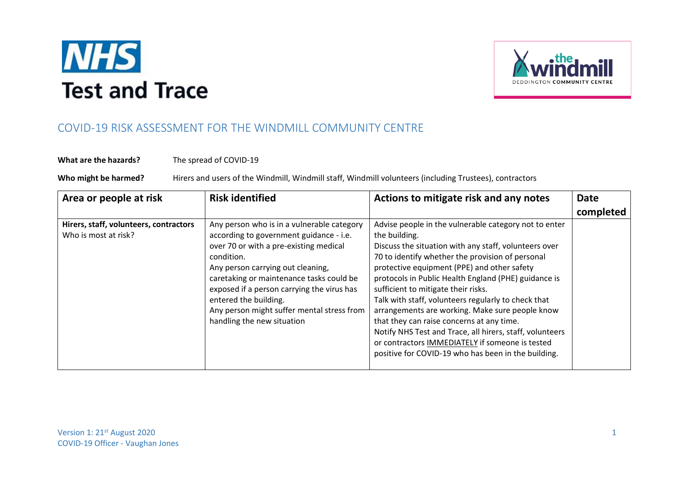



## COVID-19 RISK ASSESSMENT FOR THE WINDMILL COMMUNITY CENTRE

## **What are the hazards?** The spread of COVID-19

Who might be harmed? Hirers and users of the Windmill, Windmill staff, Windmill volunteers (including Trustees), contractors

| Area or people at risk                                         | <b>Risk identified</b>                                                                                                                                                                                                                                                                                                                                                            | Actions to mitigate risk and any notes                                                                                                                                                                                                                                                                                                                                                                                                                                                                                                                                                                                                                         | <b>Date</b> |
|----------------------------------------------------------------|-----------------------------------------------------------------------------------------------------------------------------------------------------------------------------------------------------------------------------------------------------------------------------------------------------------------------------------------------------------------------------------|----------------------------------------------------------------------------------------------------------------------------------------------------------------------------------------------------------------------------------------------------------------------------------------------------------------------------------------------------------------------------------------------------------------------------------------------------------------------------------------------------------------------------------------------------------------------------------------------------------------------------------------------------------------|-------------|
|                                                                |                                                                                                                                                                                                                                                                                                                                                                                   |                                                                                                                                                                                                                                                                                                                                                                                                                                                                                                                                                                                                                                                                | completed   |
| Hirers, staff, volunteers, contractors<br>Who is most at risk? | Any person who is in a vulnerable category<br>according to government guidance - i.e.<br>over 70 or with a pre-existing medical<br>condition.<br>Any person carrying out cleaning,<br>caretaking or maintenance tasks could be<br>exposed if a person carrying the virus has<br>entered the building.<br>Any person might suffer mental stress from<br>handling the new situation | Advise people in the vulnerable category not to enter<br>the building.<br>Discuss the situation with any staff, volunteers over<br>70 to identify whether the provision of personal<br>protective equipment (PPE) and other safety<br>protocols in Public Health England (PHE) guidance is<br>sufficient to mitigate their risks.<br>Talk with staff, volunteers regularly to check that<br>arrangements are working. Make sure people know<br>that they can raise concerns at any time.<br>Notify NHS Test and Trace, all hirers, staff, volunteers<br>or contractors IMMEDIATELY if someone is tested<br>positive for COVID-19 who has been in the building. |             |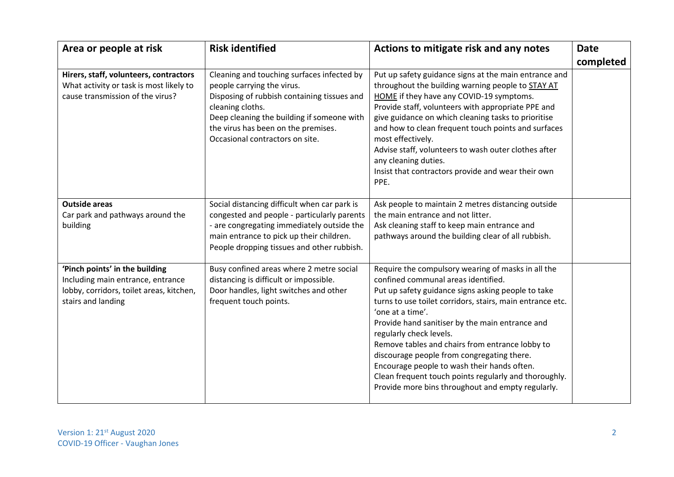| Area or people at risk                                                                                                                | <b>Risk identified</b>                                                                                                                                                                                                                                              | Actions to mitigate risk and any notes                                                                                                                                                                                                                                                                                                                                                                                                                                                                                                                                       | <b>Date</b> |
|---------------------------------------------------------------------------------------------------------------------------------------|---------------------------------------------------------------------------------------------------------------------------------------------------------------------------------------------------------------------------------------------------------------------|------------------------------------------------------------------------------------------------------------------------------------------------------------------------------------------------------------------------------------------------------------------------------------------------------------------------------------------------------------------------------------------------------------------------------------------------------------------------------------------------------------------------------------------------------------------------------|-------------|
|                                                                                                                                       |                                                                                                                                                                                                                                                                     |                                                                                                                                                                                                                                                                                                                                                                                                                                                                                                                                                                              | completed   |
| Hirers, staff, volunteers, contractors<br>What activity or task is most likely to<br>cause transmission of the virus?                 | Cleaning and touching surfaces infected by<br>people carrying the virus.<br>Disposing of rubbish containing tissues and<br>cleaning cloths.<br>Deep cleaning the building if someone with<br>the virus has been on the premises.<br>Occasional contractors on site. | Put up safety guidance signs at the main entrance and<br>throughout the building warning people to <b>STAY AT</b><br>HOME if they have any COVID-19 symptoms.<br>Provide staff, volunteers with appropriate PPE and<br>give guidance on which cleaning tasks to prioritise<br>and how to clean frequent touch points and surfaces<br>most effectively.<br>Advise staff, volunteers to wash outer clothes after<br>any cleaning duties.<br>Insist that contractors provide and wear their own<br>PPE.                                                                         |             |
| <b>Outside areas</b><br>Car park and pathways around the<br>building                                                                  | Social distancing difficult when car park is<br>congested and people - particularly parents<br>- are congregating immediately outside the<br>main entrance to pick up their children.<br>People dropping tissues and other rubbish.                                 | Ask people to maintain 2 metres distancing outside<br>the main entrance and not litter.<br>Ask cleaning staff to keep main entrance and<br>pathways around the building clear of all rubbish.                                                                                                                                                                                                                                                                                                                                                                                |             |
| 'Pinch points' in the building<br>Including main entrance, entrance<br>lobby, corridors, toilet areas, kitchen,<br>stairs and landing | Busy confined areas where 2 metre social<br>distancing is difficult or impossible.<br>Door handles, light switches and other<br>frequent touch points.                                                                                                              | Require the compulsory wearing of masks in all the<br>confined communal areas identified.<br>Put up safety guidance signs asking people to take<br>turns to use toilet corridors, stairs, main entrance etc.<br>'one at a time'.<br>Provide hand sanitiser by the main entrance and<br>regularly check levels.<br>Remove tables and chairs from entrance lobby to<br>discourage people from congregating there.<br>Encourage people to wash their hands often.<br>Clean frequent touch points regularly and thoroughly.<br>Provide more bins throughout and empty regularly. |             |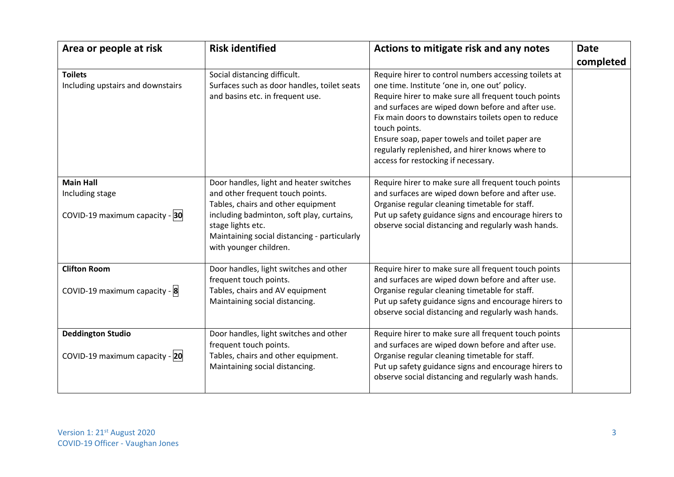| Area or people at risk                              | <b>Risk identified</b>                                                                                                                   | Actions to mitigate risk and any notes                                                                                                                                                                                                                                                                                                                                                                                                  | <b>Date</b> |
|-----------------------------------------------------|------------------------------------------------------------------------------------------------------------------------------------------|-----------------------------------------------------------------------------------------------------------------------------------------------------------------------------------------------------------------------------------------------------------------------------------------------------------------------------------------------------------------------------------------------------------------------------------------|-------------|
|                                                     |                                                                                                                                          |                                                                                                                                                                                                                                                                                                                                                                                                                                         | completed   |
| <b>Toilets</b><br>Including upstairs and downstairs | Social distancing difficult.<br>Surfaces such as door handles, toilet seats<br>and basins etc. in frequent use.                          | Require hirer to control numbers accessing toilets at<br>one time. Institute 'one in, one out' policy.<br>Require hirer to make sure all frequent touch points<br>and surfaces are wiped down before and after use.<br>Fix main doors to downstairs toilets open to reduce<br>touch points.<br>Ensure soap, paper towels and toilet paper are<br>regularly replenished, and hirer knows where to<br>access for restocking if necessary. |             |
| <b>Main Hall</b><br>Including stage                 | Door handles, light and heater switches<br>and other frequent touch points.<br>Tables, chairs and other equipment                        | Require hirer to make sure all frequent touch points<br>and surfaces are wiped down before and after use.<br>Organise regular cleaning timetable for staff.                                                                                                                                                                                                                                                                             |             |
| COVID-19 maximum capacity - 30                      | including badminton, soft play, curtains,<br>stage lights etc.<br>Maintaining social distancing - particularly<br>with younger children. | Put up safety guidance signs and encourage hirers to<br>observe social distancing and regularly wash hands.                                                                                                                                                                                                                                                                                                                             |             |
| <b>Clifton Room</b>                                 | Door handles, light switches and other<br>frequent touch points.                                                                         | Require hirer to make sure all frequent touch points<br>and surfaces are wiped down before and after use.                                                                                                                                                                                                                                                                                                                               |             |
| COVID-19 maximum capacity - 8                       | Tables, chairs and AV equipment<br>Maintaining social distancing.                                                                        | Organise regular cleaning timetable for staff.<br>Put up safety guidance signs and encourage hirers to<br>observe social distancing and regularly wash hands.                                                                                                                                                                                                                                                                           |             |
| <b>Deddington Studio</b>                            | Door handles, light switches and other<br>frequent touch points.                                                                         | Require hirer to make sure all frequent touch points<br>and surfaces are wiped down before and after use.                                                                                                                                                                                                                                                                                                                               |             |
| COVID-19 maximum capacity - 20                      | Tables, chairs and other equipment.<br>Maintaining social distancing.                                                                    | Organise regular cleaning timetable for staff.<br>Put up safety guidance signs and encourage hirers to<br>observe social distancing and regularly wash hands.                                                                                                                                                                                                                                                                           |             |